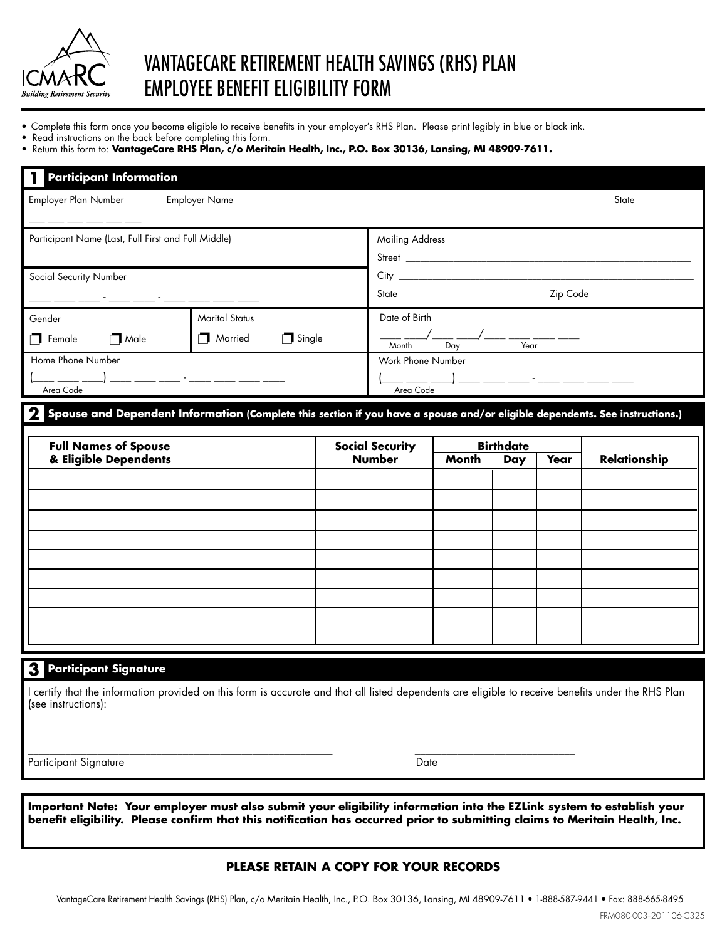

# VANTAGECARE RETIREment HEALTH SAVINGS (RHS) PLAN EMPLOYEE BENEFIT ELIGIBILITY FORM

- Complete this form once you become eligible to receive benefits in your employer's RHS Plan. Please print legibly in blue or black ink.
- Read instructions on the back before completing this form.
- **•** Return this form to: VantageCare RHS Plan, c/o Meritain Health, Inc., P.O. Box 30136, Lansing, MI 48909-7611.

| <b>Participant Information</b>                                                                                                                                                                               |  |  |                                                                                     |  |  |       |                     |
|--------------------------------------------------------------------------------------------------------------------------------------------------------------------------------------------------------------|--|--|-------------------------------------------------------------------------------------|--|--|-------|---------------------|
| Employer Plan Number<br><b>Employer Name</b>                                                                                                                                                                 |  |  |                                                                                     |  |  | State |                     |
| Participant Name (Last, Full First and Full Middle)                                                                                                                                                          |  |  | <b>Mailing Address</b>                                                              |  |  |       |                     |
| Social Security Number                                                                                                                                                                                       |  |  |                                                                                     |  |  |       |                     |
| <b>Marital Status</b><br>Gender<br>Married<br>$\Box$ Single<br>$\Box$ Female<br>Male                                                                                                                         |  |  | Date of Birth<br>__ __/___ __/___ _____________<br>Month<br>Day                     |  |  |       |                     |
| Home Phone Number<br><u> 1999 - Jan James Sammen, mars anno 1992 - </u><br>Area Code                                                                                                                         |  |  | Work Phone Number<br>Area Code                                                      |  |  |       |                     |
| Spouse and Dependent Information (Complete this section if you have a spouse and/or eligible dependents. See instructions.)<br><b>Full Names of Spouse</b><br>& Eligible Dependents                          |  |  | <b>Birthdate</b><br><b>Social Security</b><br><b>Number</b><br>Month<br>Year<br>Day |  |  |       | <b>Relationship</b> |
|                                                                                                                                                                                                              |  |  |                                                                                     |  |  |       |                     |
|                                                                                                                                                                                                              |  |  |                                                                                     |  |  |       |                     |
|                                                                                                                                                                                                              |  |  |                                                                                     |  |  |       |                     |
|                                                                                                                                                                                                              |  |  |                                                                                     |  |  |       |                     |
| <b>3</b> Participant Signature<br>I certify that the information provided on this form is accurate and that all listed dependents are eligible to receive benefits under the RHS Plan<br>(see instructions): |  |  |                                                                                     |  |  |       |                     |
| Participant Signature<br>Date                                                                                                                                                                                |  |  |                                                                                     |  |  |       |                     |

**Important Note: Your employer must also submit your eligibility information into the EZLink system to establish your benefit eligibility. Please confirm that this notification has occurred prior to submitting claims to Meritain Health, Inc.** 

#### **PLEASE RETAIN A COPY FOR YOUR RECORDS**